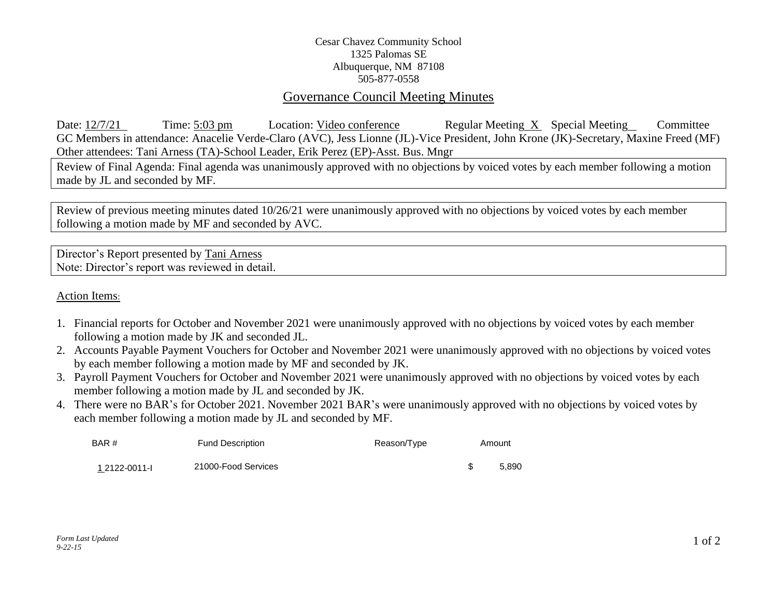## Cesar Chavez Community School 1325 Palomas SE Albuquerque, NM 87108 505-877-0558

## Governance Council Meeting Minutes

Date: 12/7/21 Time: 5:03 pm Location: Video conference Regular Meeting X Special Meeting Committee GC Members in attendance: Anacelie Verde-Claro (AVC), Jess Lionne (JL)-Vice President, John Krone (JK)-Secretary, Maxine Freed (MF) Other attendees: Tani Arness (TA)-School Leader, Erik Perez (EP)-Asst. Bus. Mngr

Review of Final Agenda: Final agenda was unanimously approved with no objections by voiced votes by each member following a motion made by JL and seconded by MF.

Review of previous meeting minutes dated 10/26/21 were unanimously approved with no objections by voiced votes by each member following a motion made by MF and seconded by AVC.

Director's Report presented by Tani Arness Note: Director's report was reviewed in detail.

Action Items:

- 1. Financial reports for October and November 2021 were unanimously approved with no objections by voiced votes by each member following a motion made by JK and seconded JL.
- 2. Accounts Payable Payment Vouchers for October and November 2021 were unanimously approved with no objections by voiced votes by each member following a motion made by MF and seconded by JK.
- 3. Payroll Payment Vouchers for October and November 2021 were unanimously approved with no objections by voiced votes by each member following a motion made by JL and seconded by JK.
- 4. There were no BAR's for October 2021. November 2021 BAR's were unanimously approved with no objections by voiced votes by each member following a motion made by JL and seconded by MF.

| BAR #         | <b>Fund Description</b> | Reason/Type | Amount |       |
|---------------|-------------------------|-------------|--------|-------|
| 1 2122-0011-L | 21000-Food Services     |             |        | 5.890 |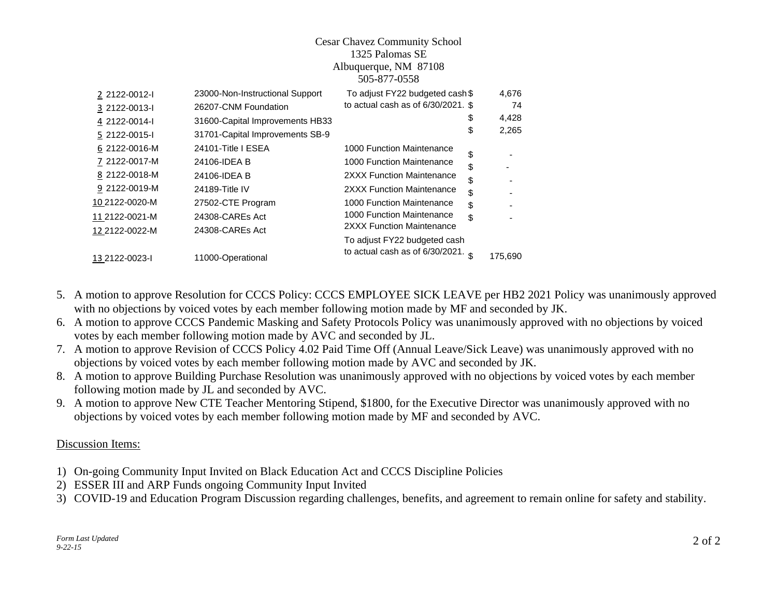|                | <b>Cesar Chavez Community School</b><br>1325 Palomas SE<br>Albuquerque, NM 87108<br>505-877-0558 |                                       |         |
|----------------|--------------------------------------------------------------------------------------------------|---------------------------------------|---------|
| 2 2122-0012-1  | 23000-Non-Instructional Support                                                                  | To adjust FY22 budgeted cash \$       | 4,676   |
| 3 2122-0013-l  | 26207-CNM Foundation                                                                             | to actual cash as of $6/30/2021$ . \$ | 74      |
| 4 2122-0014-I  | 31600-Capital Improvements HB33                                                                  | S                                     | 4,428   |
| 5 2122-0015-I  | 31701-Capital Improvements SB-9                                                                  | \$                                    | 2,265   |
| 6 2122-0016-M  | 24101-Title I ESEA                                                                               | 1000 Function Maintenance             |         |
| 7 2122-0017-M  | 24106-IDEA B                                                                                     | \$<br>1000 Function Maintenance<br>\$ |         |
| 8 2122-0018-M  | 24106-IDEA B                                                                                     | 2XXX Function Maintenance<br>\$       |         |
| 9 2122-0019-M  | 24189-Title IV                                                                                   | 2XXX Function Maintenance<br>\$       |         |
| 10 2122-0020-M | 27502-CTE Program                                                                                | 1000 Function Maintenance<br>\$       |         |
| 11 2122-0021-M | 24308-CAREs Act                                                                                  | 1000 Function Maintenance<br>\$       |         |
| 12 2122-0022-M | 24308-CAREs Act                                                                                  | 2XXX Function Maintenance             |         |
|                |                                                                                                  | To adjust FY22 budgeted cash          |         |
| 13 2122-0023-I | 11000-Operational                                                                                | to actual cash as of $6/30/2021$ .    | 175,690 |

- 5. A motion to approve Resolution for CCCS Policy: CCCS EMPLOYEE SICK LEAVE per HB2 2021 Policy was unanimously approved with no objections by voiced votes by each member following motion made by MF and seconded by JK.
- 6. A motion to approve CCCS Pandemic Masking and Safety Protocols Policy was unanimously approved with no objections by voiced votes by each member following motion made by AVC and seconded by JL.
- 7. A motion to approve Revision of CCCS Policy 4.02 Paid Time Off (Annual Leave/Sick Leave) was unanimously approved with no objections by voiced votes by each member following motion made by AVC and seconded by JK.
- 8. A motion to approve Building Purchase Resolution was unanimously approved with no objections by voiced votes by each member following motion made by JL and seconded by AVC.
- 9. A motion to approve New CTE Teacher Mentoring Stipend, \$1800, for the Executive Director was unanimously approved with no objections by voiced votes by each member following motion made by MF and seconded by AVC.

## Discussion Items:

- 1) On-going Community Input Invited on Black Education Act and CCCS Discipline Policies
- 2) ESSER III and ARP Funds ongoing Community Input Invited
- 3) COVID-19 and Education Program Discussion regarding challenges, benefits, and agreement to remain online for safety and stability.